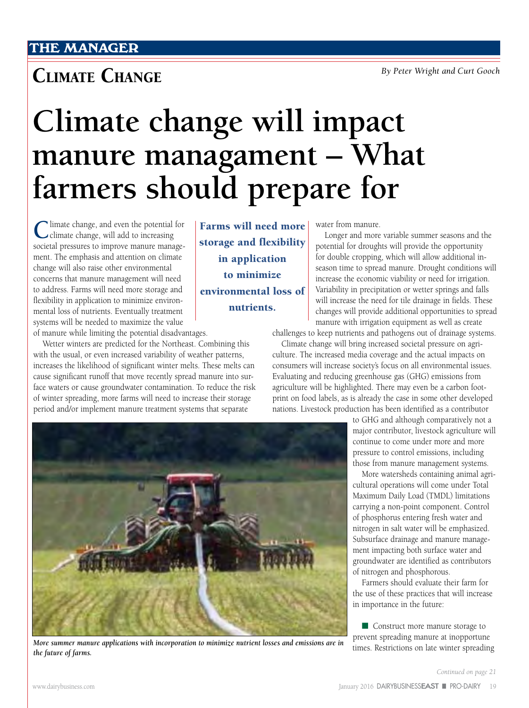## **CLIMATE CHANGE** *By Peter Wright and Curt Gooch*

# **Climate change will impact manure managament – What farmers should prepare for**

**C**limate change, and even the potential for climate change, will add to increasing societal pressures to improve manure management. The emphasis and attention on climate change will also raise other environmental concerns that manure management will need to address. Farms will need more storage and flexibility in application to minimize environmental loss of nutrients. Eventually treatment systems will be needed to maximize the value of manure while limiting the potential disadvantages.

 Wetter winters are predicted for the Northeast. Combining this with the usual, or even increased variability of weather patterns, increases the likelihood of significant winter melts. These melts can cause significant runoff that move recently spread manure into surface waters or cause groundwater contamination. To reduce the risk of winter spreading, more farms will need to increase their storage period and/or implement manure treatment systems that separate

Farms will need more storage and flexibility in application to minimize environmental loss of nutrients.

water from manure.

Longer and more variable summer seasons and the potential for droughts will provide the opportunity for double cropping, which will allow additional inseason time to spread manure. Drought conditions will increase the economic viability or need for irrigation. Variability in precipitation or wetter springs and falls will increase the need for tile drainage in fields. These changes will provide additional opportunities to spread manure with irrigation equipment as well as create

challenges to keep nutrients and pathogens out of drainage systems.

Climate change will bring increased societal pressure on agriculture. The increased media coverage and the actual impacts on consumers will increase society's focus on all environmental issues. Evaluating and reducing greenhouse gas (GHG) emissions from agriculture will be highlighted. There may even be a carbon footprint on food labels, as is already the case in some other developed nations. Livestock production has been identified as a contributor

> to GHG and although comparatively not a major contributor, livestock agriculture will continue to come under more and more pressure to control emissions, including those from manure management systems.

> More watersheds containing animal agricultural operations will come under Total Maximum Daily Load (TMDL) limitations carrying a non-point component. Control of phosphorus entering fresh water and nitrogen in salt water will be emphasized. Subsurface drainage and manure management impacting both surface water and groundwater are identified as contributors of nitrogen and phosphorous.

Farmers should evaluate their farm for the use of these practices that will increase in importance in the future:

■ Construct more manure storage to prevent spreading manure at inopportune times. Restrictions on late winter spreading



*More summer manure applications with incorporation to minimize nutrient losses and emissions are in the future of farms.*